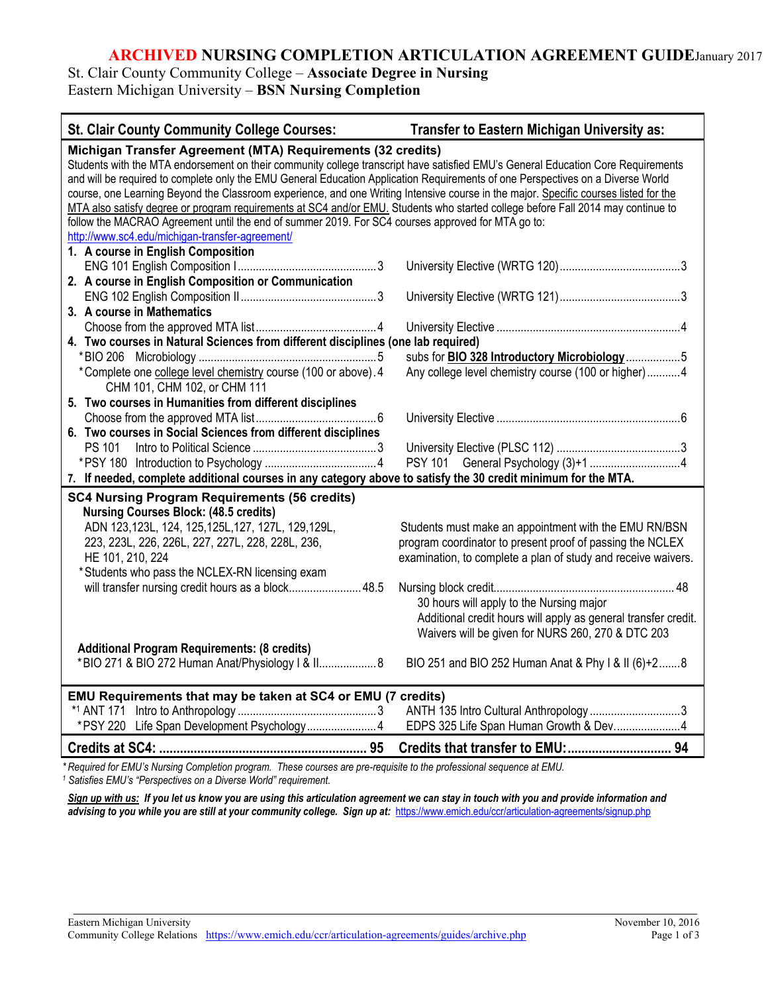# **ARCHIVED NURSING COMPLETION ARTICULATION AGREEMENT GUIDE**January 2017

St. Clair County Community College – **Associate Degree in Nursing**

Eastern Michigan University – **BSN Nursing Completion**

| <b>St. Clair County Community College Courses:</b>                                                                                   | <b>Transfer to Eastern Michigan University as:</b>             |  |
|--------------------------------------------------------------------------------------------------------------------------------------|----------------------------------------------------------------|--|
| Michigan Transfer Agreement (MTA) Requirements (32 credits)                                                                          |                                                                |  |
| Students with the MTA endorsement on their community college transcript have satisfied EMU's General Education Core Requirements     |                                                                |  |
| and will be required to complete only the EMU General Education Application Requirements of one Perspectives on a Diverse World      |                                                                |  |
| course, one Learning Beyond the Classroom experience, and one Writing Intensive course in the major. Specific courses listed for the |                                                                |  |
| MTA also satisfy degree or program requirements at SC4 and/or EMU. Students who started college before Fall 2014 may continue to     |                                                                |  |
| follow the MACRAO Agreement until the end of summer 2019. For SC4 courses approved for MTA go to:                                    |                                                                |  |
| http://www.sc4.edu/michigan-transfer-agreement/                                                                                      |                                                                |  |
| 1. A course in English Composition                                                                                                   |                                                                |  |
|                                                                                                                                      |                                                                |  |
| 2. A course in English Composition or Communication                                                                                  |                                                                |  |
|                                                                                                                                      |                                                                |  |
| 3. A course in Mathematics                                                                                                           |                                                                |  |
|                                                                                                                                      |                                                                |  |
| 4. Two courses in Natural Sciences from different disciplines (one lab required)                                                     |                                                                |  |
|                                                                                                                                      | subs for <b>BIO 328 Introductory Microbiology</b> 5            |  |
| *Complete one college level chemistry course (100 or above). 4<br>CHM 101, CHM 102, or CHM 111                                       | Any college level chemistry course (100 or higher)4            |  |
| 5. Two courses in Humanities from different disciplines                                                                              |                                                                |  |
|                                                                                                                                      |                                                                |  |
| 6. Two courses in Social Sciences from different disciplines                                                                         |                                                                |  |
| <b>PS 101</b>                                                                                                                        |                                                                |  |
|                                                                                                                                      |                                                                |  |
| 7. If needed, complete additional courses in any category above to satisfy the 30 credit minimum for the MTA.                        |                                                                |  |
| <b>SC4 Nursing Program Requirements (56 credits)</b>                                                                                 |                                                                |  |
| <b>Nursing Courses Block: (48.5 credits)</b>                                                                                         |                                                                |  |
| ADN 123,123L, 124, 125,125L,127, 127L, 129,129L,                                                                                     | Students must make an appointment with the EMU RN/BSN          |  |
| 223, 223L, 226, 226L, 227, 227L, 228, 228L, 236,                                                                                     | program coordinator to present proof of passing the NCLEX      |  |
| HE 101, 210, 224                                                                                                                     | examination, to complete a plan of study and receive waivers.  |  |
| *Students who pass the NCLEX-RN licensing exam                                                                                       |                                                                |  |
| will transfer nursing credit hours as a block 48.5                                                                                   |                                                                |  |
|                                                                                                                                      | 30 hours will apply to the Nursing major                       |  |
|                                                                                                                                      | Additional credit hours will apply as general transfer credit. |  |
|                                                                                                                                      | Waivers will be given for NURS 260, 270 & DTC 203              |  |
| <b>Additional Program Requirements: (8 credits)</b>                                                                                  |                                                                |  |
| *BIO 271 & BIO 272 Human Anat/Physiology   & II 8                                                                                    | BIO 251 and BIO 252 Human Anat & Phy I & II (6)+28             |  |
|                                                                                                                                      |                                                                |  |
| EMU Requirements that may be taken at SC4 or EMU (7 credits)                                                                         |                                                                |  |
|                                                                                                                                      |                                                                |  |
| *PSY 220 Life Span Development Psychology4                                                                                           | EDPS 325 Life Span Human Growth & Dev4                         |  |
|                                                                                                                                      |                                                                |  |

*\* Required for EMU's Nursing Completion program. These courses are pre-requisite to the professional sequence at EMU. <sup>1</sup> Satisfies EMU's "Perspectives on a Diverse World" requirement.*

*Sign up with us: If you let us know you are using this articulation agreement we can stay in touch with you and provide information and*  advising to you while you are still at your community college. Sign up at: <https://www.emich.edu/ccr/articulation-agreements/signup.php>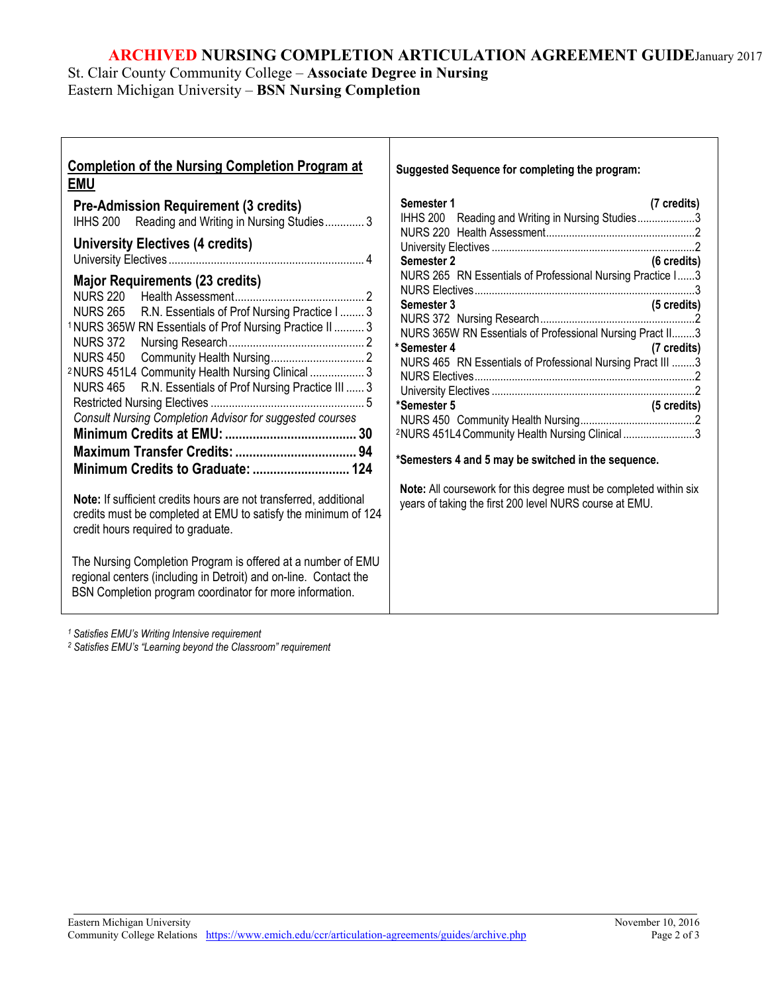# **ARCHIVED NURSING COMPLETION ARTICULATION AGREEMENT GUIDE**January 2017

St. Clair County Community College – **Associate Degree in Nursing** Eastern Michigan University – **BSN Nursing Completion**

| <b>Completion of the Nursing Completion Program at</b><br><u>EMU</u>                                                                                                                                                                                                                                                                                                                                                                                                                                                                                                                                                                                                                                                                                                                                                                                                                                                     | Suggested Sequence for completing the program:                                                                                                                                                                                                                                                                                                                                                                                                                                                                                                                                                                                                     |
|--------------------------------------------------------------------------------------------------------------------------------------------------------------------------------------------------------------------------------------------------------------------------------------------------------------------------------------------------------------------------------------------------------------------------------------------------------------------------------------------------------------------------------------------------------------------------------------------------------------------------------------------------------------------------------------------------------------------------------------------------------------------------------------------------------------------------------------------------------------------------------------------------------------------------|----------------------------------------------------------------------------------------------------------------------------------------------------------------------------------------------------------------------------------------------------------------------------------------------------------------------------------------------------------------------------------------------------------------------------------------------------------------------------------------------------------------------------------------------------------------------------------------------------------------------------------------------------|
| <b>Pre-Admission Requirement (3 credits)</b><br>IHHS 200 Reading and Writing in Nursing Studies3<br><b>University Electives (4 credits)</b><br><b>Major Requirements (23 credits)</b><br><b>NURS 220</b><br>R.N. Essentials of Prof Nursing Practice I  3<br><b>NURS 265</b><br><sup>1</sup> NURS 365W RN Essentials of Prof Nursing Practice II  3<br><sup>2</sup> NURS 451L4 Community Health Nursing Clinical  3<br>NURS 465 R.N. Essentials of Prof Nursing Practice III  3<br>Consult Nursing Completion Advisor for suggested courses<br>Note: If sufficient credits hours are not transferred, additional<br>credits must be completed at EMU to satisfy the minimum of 124<br>credit hours required to graduate.<br>The Nursing Completion Program is offered at a number of EMU<br>regional centers (including in Detroit) and on-line. Contact the<br>BSN Completion program coordinator for more information. | Semester 1<br>(7 credits)<br>IHHS 200 Reading and Writing in Nursing Studies3<br>Semester 2<br>(6 credits)<br>NURS 265 RN Essentials of Professional Nursing Practice I3<br>(5 credits)<br>Semester 3<br>NURS 365W RN Essentials of Professional Nursing Pract II3<br>*Semester 4<br>(7 credits)<br>NURS 465 RN Essentials of Professional Nursing Pract III 3<br>(5 credits)<br>*Semester 5<br><sup>2</sup> NURS 451L4 Community Health Nursing Clinical 3<br>*Semesters 4 and 5 may be switched in the sequence.<br>Note: All coursework for this degree must be completed within six<br>years of taking the first 200 level NURS course at EMU. |

*<sup>1</sup> Satisfies EMU's Writing Intensive requirement*

*<sup>2</sup> Satisfies EMU's "Learning beyond the Classroom" requirement*